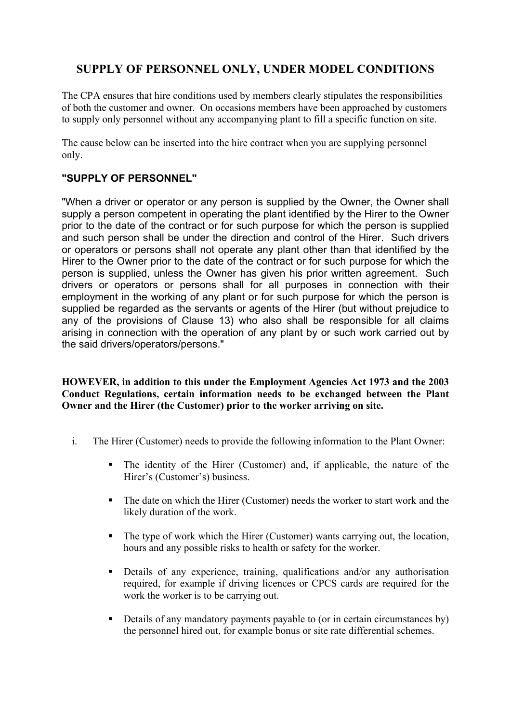## **SUPPLY OF PERSONNEL ONLY, UNDER MODEL CONDITIONS**

The CPA ensures that hire conditions used by members clearly stipulates the responsibilities of both the customer and owner. On occasions members have been approached by customers to supply only personnel without any accompanying plant to fill a specific function on site.

The cause below can be inserted into the hire contract when you are supplying personnel only.

## **"SUPPLY OF PERSONNEL"**

"When a driver or operator or any person is supplied by the Owner, the Owner shall supply a person competent in operating the plant identified by the Hirer to the Owner prior to the date of the contract or for such purpose for which the person is supplied and such person shall be under the direction and control of the Hirer. Such drivers or operators or persons shall not operate any plant other than that identified by the Hirer to the Owner prior to the date of the contract or for such purpose for which the person is supplied, unless the Owner has given his prior written agreement. Such drivers or operators or persons shall for all purposes in connection with their employment in the working of any plant or for such purpose for which the person is supplied be regarded as the servants or agents of the Hirer (but without prejudice to any of the provisions of Clause 13) who also shall be responsible for all claims arising in connection with the operation of any plant by or such work carried out by the said drivers/operators/persons."

**HOWEVER, in addition to this under the Employment Agencies Act 1973 and the 2003 Conduct Regulations, certain information needs to be exchanged between the Plant Owner and the Hirer (the Customer) prior to the worker arriving on site.**

- i. The Hirer (Customer) needs to provide the following information to the Plant Owner:
	- The identity of the Hirer (Customer) and, if applicable, the nature of the Hirer's (Customer's) business.
	- The date on which the Hirer (Customer) needs the worker to start work and the likely duration of the work.
	- The type of work which the Hirer (Customer) wants carrying out, the location, hours and any possible risks to health or safety for the worker.
	- Details of any experience, training, qualifications and/or any authorisation required, for example if driving licences or CPCS cards are required for the work the worker is to be carrying out.
	- Details of any mandatory payments payable to (or in certain circumstances by) the personnel hired out, for example bonus or site rate differential schemes.